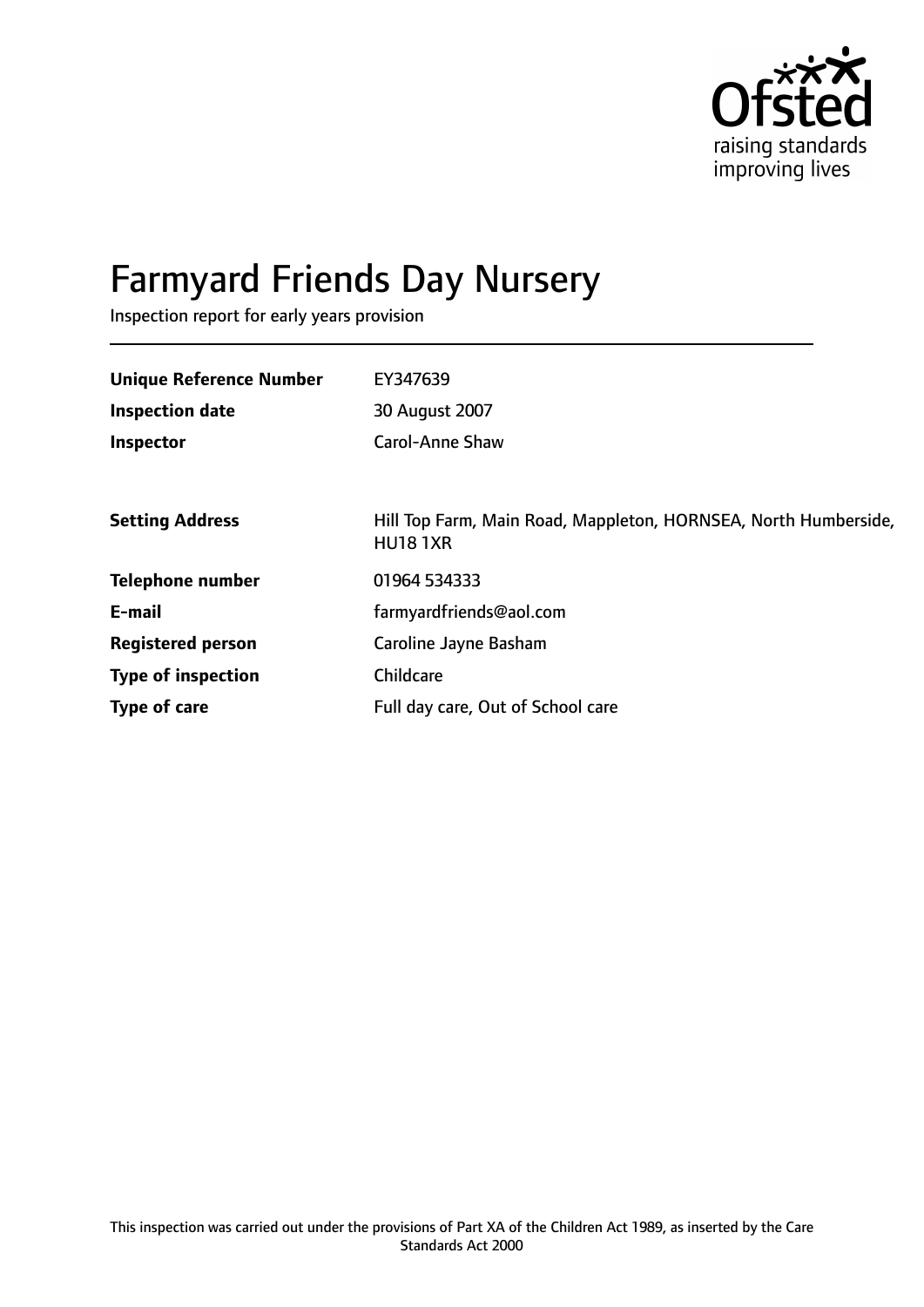

# Farmyard Friends Day Nursery

Inspection report for early years provision

| <b>Unique Reference Number</b> | EY347639                                                                           |
|--------------------------------|------------------------------------------------------------------------------------|
| <b>Inspection date</b>         | 30 August 2007                                                                     |
| Inspector                      | <b>Carol-Anne Shaw</b>                                                             |
|                                |                                                                                    |
| <b>Setting Address</b>         | Hill Top Farm, Main Road, Mappleton, HORNSEA, North Humberside,<br><b>HU18 1XR</b> |
| Telephone number               | 01964 534333                                                                       |
| E-mail                         | farmyardfriends@aol.com                                                            |
| <b>Registered person</b>       | Caroline Jayne Basham                                                              |
| <b>Type of inspection</b>      | Childcare                                                                          |
| Type of care                   | Full day care, Out of School care                                                  |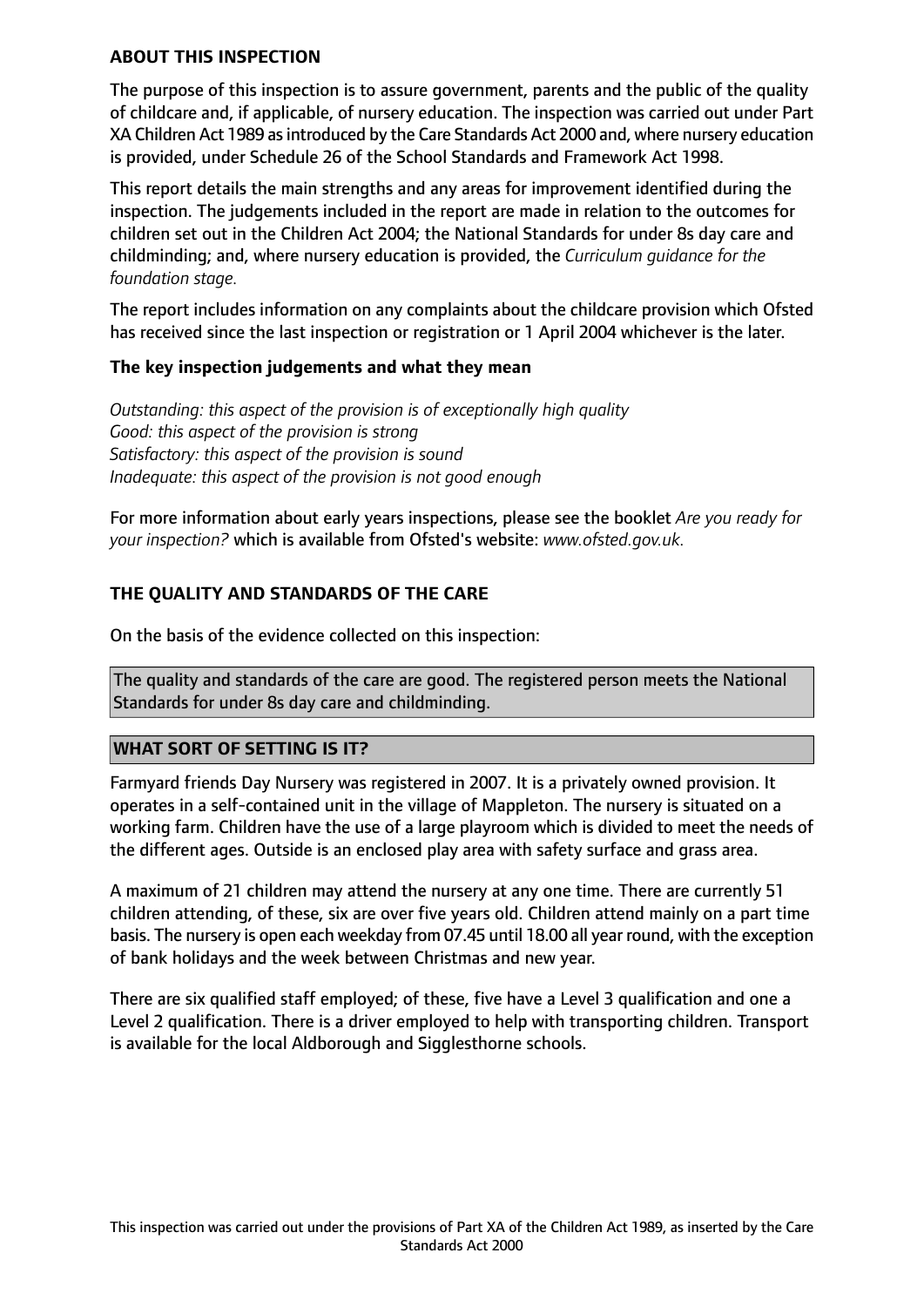## **ABOUT THIS INSPECTION**

The purpose of this inspection is to assure government, parents and the public of the quality of childcare and, if applicable, of nursery education. The inspection was carried out under Part XA Children Act 1989 as introduced by the Care Standards Act 2000 and, where nursery education is provided, under Schedule 26 of the School Standards and Framework Act 1998.

This report details the main strengths and any areas for improvement identified during the inspection. The judgements included in the report are made in relation to the outcomes for children set out in the Children Act 2004; the National Standards for under 8s day care and childminding; and, where nursery education is provided, the *Curriculum guidance for the foundation stage.*

The report includes information on any complaints about the childcare provision which Ofsted has received since the last inspection or registration or 1 April 2004 whichever is the later.

## **The key inspection judgements and what they mean**

*Outstanding: this aspect of the provision is of exceptionally high quality Good: this aspect of the provision is strong Satisfactory: this aspect of the provision is sound Inadequate: this aspect of the provision is not good enough*

For more information about early years inspections, please see the booklet *Are you ready for your inspection?* which is available from Ofsted's website: *www.ofsted.gov.uk.*

## **THE QUALITY AND STANDARDS OF THE CARE**

On the basis of the evidence collected on this inspection:

The quality and standards of the care are good. The registered person meets the National Standards for under 8s day care and childminding.

## **WHAT SORT OF SETTING IS IT?**

Farmyard friends Day Nursery was registered in 2007. It is a privately owned provision. It operates in a self-contained unit in the village of Mappleton. The nursery is situated on a working farm. Children have the use of a large playroom which is divided to meet the needs of the different ages. Outside is an enclosed play area with safety surface and grass area.

A maximum of 21 children may attend the nursery at any one time. There are currently 51 children attending, of these, six are over five years old. Children attend mainly on a part time basis. The nursery is open each weekday from 07.45 until 18.00 all year round, with the exception of bank holidays and the week between Christmas and new year.

There are six qualified staff employed; of these, five have a Level 3 qualification and one a Level 2 qualification. There is a driver employed to help with transporting children. Transport is available for the local Aldborough and Sigglesthorne schools.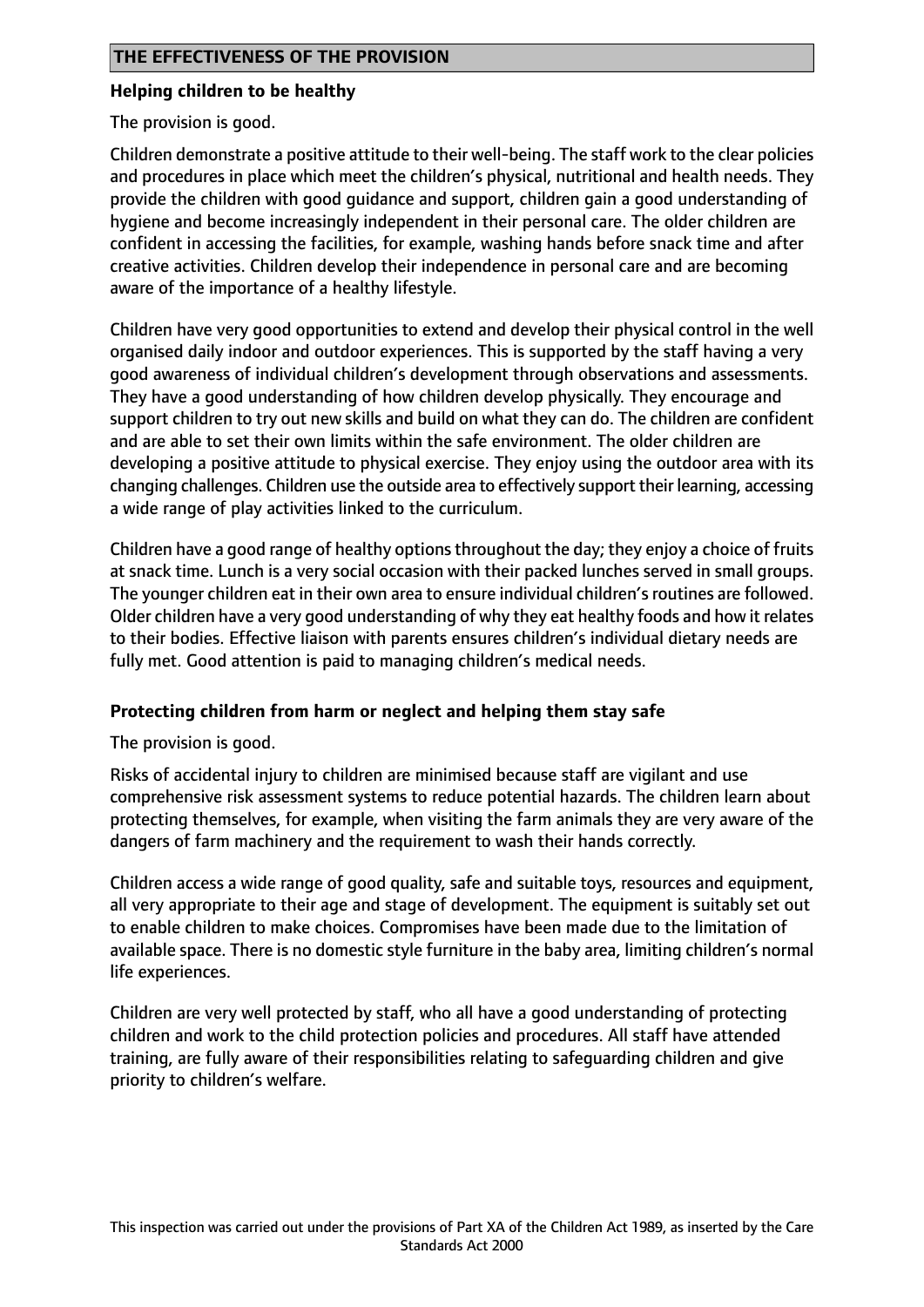## **Helping children to be healthy**

The provision is good.

Children demonstrate a positive attitude to their well-being. The staff work to the clear policies and procedures in place which meet the children's physical, nutritional and health needs. They provide the children with good guidance and support, children gain a good understanding of hygiene and become increasingly independent in their personal care. The older children are confident in accessing the facilities, for example, washing hands before snack time and after creative activities. Children develop their independence in personal care and are becoming aware of the importance of a healthy lifestyle.

Children have very good opportunities to extend and develop their physical control in the well organised daily indoor and outdoor experiences. This is supported by the staff having a very good awareness of individual children's development through observations and assessments. They have a good understanding of how children develop physically. They encourage and support children to try out new skills and build on what they can do. The children are confident and are able to set their own limits within the safe environment. The older children are developing a positive attitude to physical exercise. They enjoy using the outdoor area with its changing challenges. Children use the outside area to effectively support their learning, accessing a wide range of play activities linked to the curriculum.

Children have a good range of healthy optionsthroughout the day; they enjoy a choice of fruits at snack time. Lunch is a very social occasion with their packed lunches served in small groups. The younger children eat in their own area to ensure individual children's routines are followed. Older children have a very good understanding of why they eat healthy foods and how it relates to their bodies. Effective liaison with parents ensures children's individual dietary needs are fully met. Good attention is paid to managing children's medical needs.

## **Protecting children from harm or neglect and helping them stay safe**

The provision is good.

Risks of accidental injury to children are minimised because staff are vigilant and use comprehensive risk assessment systems to reduce potential hazards. The children learn about protecting themselves, for example, when visiting the farm animals they are very aware of the dangers of farm machinery and the requirement to wash their hands correctly.

Children access a wide range of good quality, safe and suitable toys, resources and equipment, all very appropriate to their age and stage of development. The equipment is suitably set out to enable children to make choices. Compromises have been made due to the limitation of available space. There is no domestic style furniture in the baby area, limiting children's normal life experiences.

Children are very well protected by staff, who all have a good understanding of protecting children and work to the child protection policies and procedures. All staff have attended training, are fully aware of their responsibilities relating to safeguarding children and give priority to children's welfare.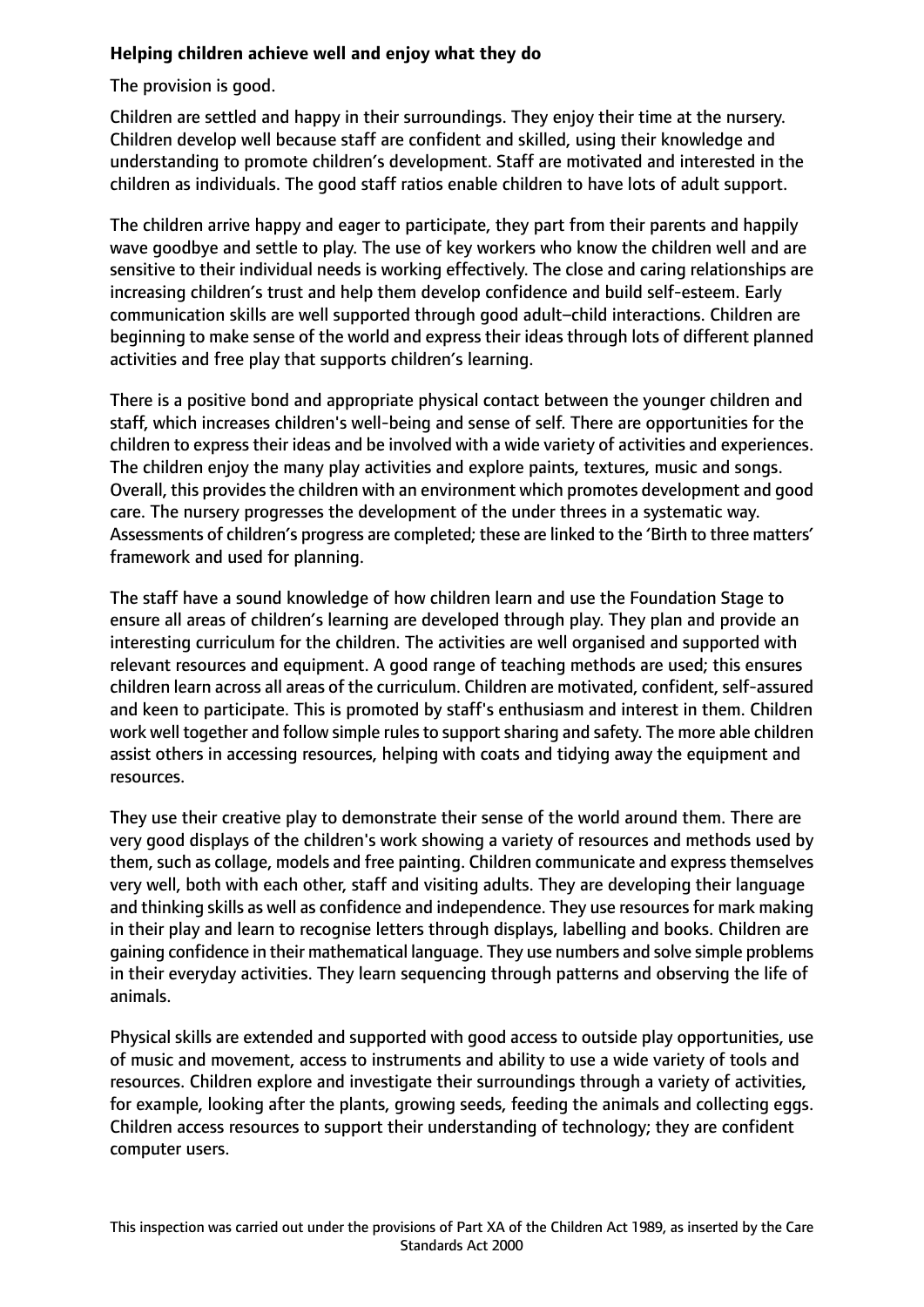## **Helping children achieve well and enjoy what they do**

The provision is good.

Children are settled and happy in their surroundings. They enjoy their time at the nursery. Children develop well because staff are confident and skilled, using their knowledge and understanding to promote children's development. Staff are motivated and interested in the children as individuals. The good staff ratios enable children to have lots of adult support.

The children arrive happy and eager to participate, they part from their parents and happily wave goodbye and settle to play. The use of key workers who know the children well and are sensitive to their individual needs is working effectively. The close and caring relationships are increasing children's trust and help them develop confidence and build self-esteem. Early communication skills are well supported through good adult–child interactions. Children are beginning to make sense of the world and express their ideas through lots of different planned activities and free play that supports children's learning.

There is a positive bond and appropriate physical contact between the younger children and staff, which increases children's well-being and sense of self. There are opportunities for the children to express their ideas and be involved with a wide variety of activities and experiences. The children enjoy the many play activities and explore paints, textures, music and songs. Overall, this provides the children with an environment which promotes development and good care. The nursery progresses the development of the under threes in a systematic way. Assessments of children's progress are completed; these are linked to the 'Birth to three matters' framework and used for planning.

The staff have a sound knowledge of how children learn and use the Foundation Stage to ensure all areas of children's learning are developed through play. They plan and provide an interesting curriculum for the children. The activities are well organised and supported with relevant resources and equipment. A good range of teaching methods are used; this ensures children learn across all areas of the curriculum. Children are motivated, confident, self-assured and keen to participate. This is promoted by staff's enthusiasm and interest in them. Children work well together and follow simple rules to support sharing and safety. The more able children assist others in accessing resources, helping with coats and tidying away the equipment and resources.

They use their creative play to demonstrate their sense of the world around them. There are very good displays of the children's work showing a variety of resources and methods used by them, such as collage, models and free painting. Children communicate and express themselves very well, both with each other, staff and visiting adults. They are developing their language and thinking skills as well as confidence and independence. They use resources for mark making in their play and learn to recognise letters through displays, labelling and books. Children are gaining confidence in their mathematical language. They use numbers and solve simple problems in their everyday activities. They learn sequencing through patterns and observing the life of animals.

Physical skills are extended and supported with good access to outside play opportunities, use of music and movement, access to instruments and ability to use a wide variety of tools and resources. Children explore and investigate their surroundings through a variety of activities, for example, looking after the plants, growing seeds, feeding the animals and collecting eggs. Children access resources to support their understanding of technology; they are confident computer users.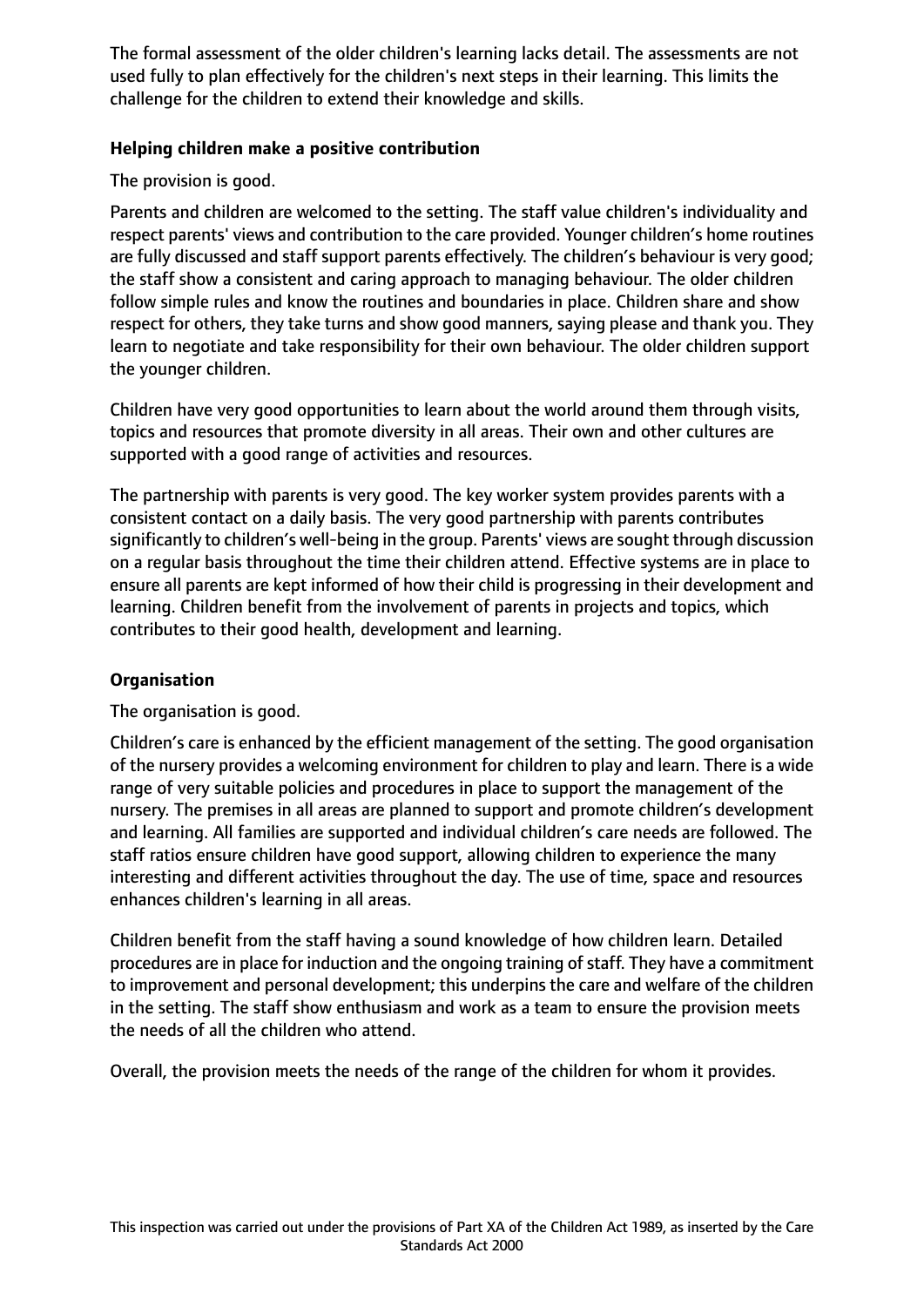The formal assessment of the older children's learning lacks detail. The assessments are not used fully to plan effectively for the children's next steps in their learning. This limits the challenge for the children to extend their knowledge and skills.

## **Helping children make a positive contribution**

The provision is good.

Parents and children are welcomed to the setting. The staff value children's individuality and respect parents' views and contribution to the care provided. Younger children's home routines are fully discussed and staff support parents effectively. The children's behaviour is very good; the staff show a consistent and caring approach to managing behaviour. The older children follow simple rules and know the routines and boundaries in place. Children share and show respect for others, they take turns and show good manners, saying please and thank you. They learn to negotiate and take responsibility for their own behaviour. The older children support the younger children.

Children have very good opportunities to learn about the world around them through visits, topics and resources that promote diversity in all areas. Their own and other cultures are supported with a good range of activities and resources.

The partnership with parents is very good. The key worker system provides parents with a consistent contact on a daily basis. The very good partnership with parents contributes significantly to children's well-being in the group. Parents' views are sought through discussion on a regular basis throughout the time their children attend. Effective systems are in place to ensure all parents are kept informed of how their child is progressing in their development and learning. Children benefit from the involvement of parents in projects and topics, which contributes to their good health, development and learning.

## **Organisation**

The organisation is good.

Children's care is enhanced by the efficient management of the setting. The good organisation of the nursery provides a welcoming environment for children to play and learn. There is a wide range of very suitable policies and procedures in place to support the management of the nursery. The premises in all areas are planned to support and promote children's development and learning. All families are supported and individual children's care needs are followed. The staff ratios ensure children have good support, allowing children to experience the many interesting and different activities throughout the day. The use of time, space and resources enhances children's learning in all areas.

Children benefit from the staff having a sound knowledge of how children learn. Detailed procedures are in place for induction and the ongoing training of staff. They have a commitment to improvement and personal development; this underpins the care and welfare of the children in the setting. The staff show enthusiasm and work as a team to ensure the provision meets the needs of all the children who attend.

Overall, the provision meets the needs of the range of the children for whom it provides.